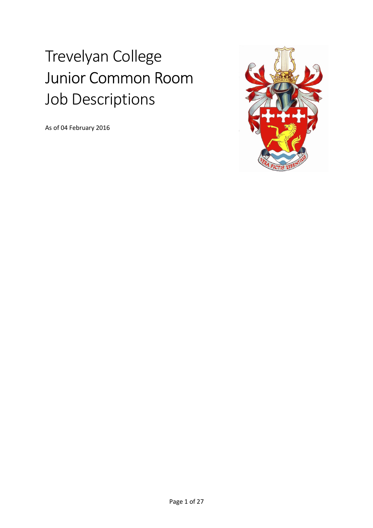# Trevelyan College Junior Common Room Job Descriptions

As of 04 February 2016

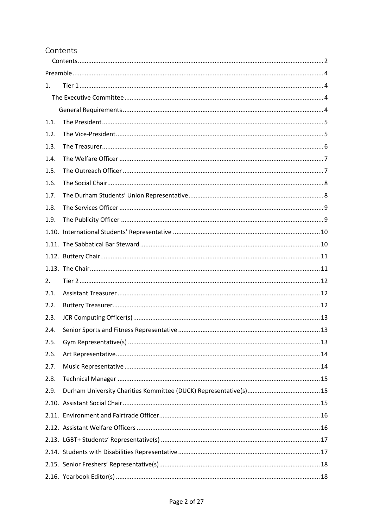#### Contents

| 1.   |  |  |  |
|------|--|--|--|
|      |  |  |  |
|      |  |  |  |
| 1.1. |  |  |  |
| 1.2. |  |  |  |
| 1.3. |  |  |  |
| 1.4. |  |  |  |
| 1.5. |  |  |  |
| 1.6. |  |  |  |
| 1.7. |  |  |  |
| 1.8. |  |  |  |
| 1.9. |  |  |  |
|      |  |  |  |
|      |  |  |  |
|      |  |  |  |
|      |  |  |  |
| 2.   |  |  |  |
| 2.1. |  |  |  |
| 2.2. |  |  |  |
| 2.3. |  |  |  |
| 2.4. |  |  |  |
| 2.5. |  |  |  |
| 2.6. |  |  |  |
| 2.7. |  |  |  |
| 2.8. |  |  |  |
| 2.9. |  |  |  |
|      |  |  |  |
|      |  |  |  |
|      |  |  |  |
|      |  |  |  |
|      |  |  |  |
|      |  |  |  |
|      |  |  |  |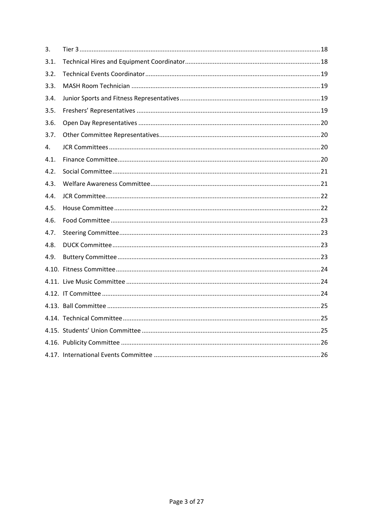| 3.   |  |
|------|--|
| 3.1. |  |
| 3.2. |  |
| 3.3. |  |
| 3.4. |  |
| 3.5. |  |
| 3.6. |  |
| 3.7. |  |
| 4.   |  |
| 4.1. |  |
| 4.2. |  |
| 4.3. |  |
| 4.4. |  |
| 4.5. |  |
| 4.6. |  |
| 4.7. |  |
| 4.8. |  |
| 4.9. |  |
|      |  |
|      |  |
|      |  |
|      |  |
|      |  |
|      |  |
|      |  |
|      |  |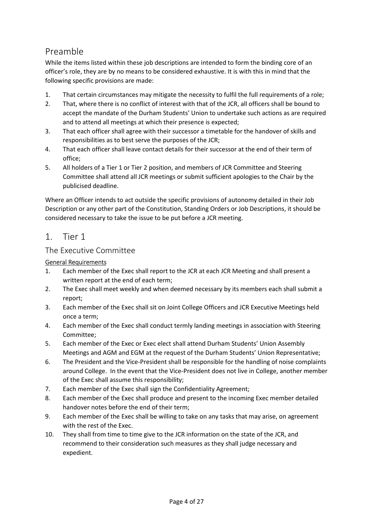# Preamble

While the items listed within these job descriptions are intended to form the binding core of an officer's role, they are by no means to be considered exhaustive. It is with this in mind that the following specific provisions are made:

- 1. That certain circumstances may mitigate the necessity to fulfil the full requirements of a role;
- 2. That, where there is no conflict of interest with that of the JCR, all officers shall be bound to accept the mandate of the Durham Students' Union to undertake such actions as are required and to attend all meetings at which their presence is expected;
- 3. That each officer shall agree with their successor a timetable for the handover of skills and responsibilities as to best serve the purposes of the JCR;
- 4. That each officer shall leave contact details for their successor at the end of their term of office;
- 5. All holders of a Tier 1 or Tier 2 position, and members of JCR Committee and Steering Committee shall attend all JCR meetings or submit sufficient apologies to the Chair by the publicised deadline.

Where an Officer intends to act outside the specific provisions of autonomy detailed in their Job Description or any other part of the Constitution, Standing Orders or Job Descriptions, it should be considered necessary to take the issue to be put before a JCR meeting.

## 1. Tier 1

#### The Executive Committee

#### General Requirements

- 1. Each member of the Exec shall report to the JCR at each JCR Meeting and shall present a written report at the end of each term;
- 2. The Exec shall meet weekly and when deemed necessary by its members each shall submit a report;
- 3. Each member of the Exec shall sit on Joint College Officers and JCR Executive Meetings held once a term;
- 4. Each member of the Exec shall conduct termly landing meetings in association with Steering Committee;
- 5. Each member of the Exec or Exec elect shall attend Durham Students' Union Assembly Meetings and AGM and EGM at the request of the Durham Students' Union Representative;
- 6. The President and the Vice-President shall be responsible for the handling of noise complaints around College. In the event that the Vice-President does not live in College, another member of the Exec shall assume this responsibility;
- 7. Each member of the Exec shall sign the Confidentiality Agreement;
- 8. Each member of the Exec shall produce and present to the incoming Exec member detailed handover notes before the end of their term;
- 9. Each member of the Exec shall be willing to take on any tasks that may arise, on agreement with the rest of the Exec.
- 10. They shall from time to time give to the JCR information on the state of the JCR, and recommend to their consideration such measures as they shall judge necessary and expedient.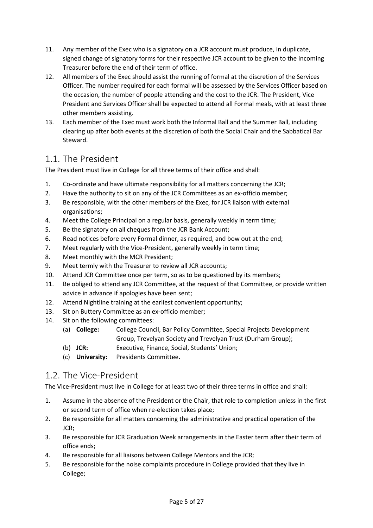- 11. Any member of the Exec who is a signatory on a JCR account must produce, in duplicate, signed change of signatory forms for their respective JCR account to be given to the incoming Treasurer before the end of their term of office.
- 12. All members of the Exec should assist the running of formal at the discretion of the Services Officer. The number required for each formal will be assessed by the Services Officer based on the occasion, the number of people attending and the cost to the JCR. The President, Vice President and Services Officer shall be expected to attend all Formal meals, with at least three other members assisting.
- 13. Each member of the Exec must work both the Informal Ball and the Summer Ball, including clearing up after both events at the discretion of both the Social Chair and the Sabbatical Bar Steward.

# 1.1. The President

The President must live in College for all three terms of their office and shall:

- 1. Co-ordinate and have ultimate responsibility for all matters concerning the JCR;
- 2. Have the authority to sit on any of the JCR Committees as an ex-officio member;
- 3. Be responsible, with the other members of the Exec, for JCR liaison with external organisations;
- 4. Meet the College Principal on a regular basis, generally weekly in term time;
- 5. Be the signatory on all cheques from the JCR Bank Account;
- 6. Read notices before every Formal dinner, as required, and bow out at the end;
- 7. Meet regularly with the Vice-President, generally weekly in term time;
- 8. Meet monthly with the MCR President;
- 9. Meet termly with the Treasurer to review all JCR accounts;
- 10. Attend JCR Committee once per term, so as to be questioned by its members;
- 11. Be obliged to attend any JCR Committee, at the request of that Committee, or provide written advice in advance if apologies have been sent;
- 12. Attend Nightline training at the earliest convenient opportunity;
- 13. Sit on Buttery Committee as an ex-officio member;
- 14. Sit on the following committees:
	- (a) **College:** College Council, Bar Policy Committee, Special Projects Development Group, Trevelyan Society and Trevelyan Trust (Durham Group);
	- (b) **JCR:** Executive, Finance, Social, Students' Union;
	- (c) **University:** Presidents Committee.

## 1.2. The Vice-President

The Vice-President must live in College for at least two of their three terms in office and shall:

- 1. Assume in the absence of the President or the Chair, that role to completion unless in the first or second term of office when re-election takes place;
- 2. Be responsible for all matters concerning the administrative and practical operation of the JCR;
- 3. Be responsible for JCR Graduation Week arrangements in the Easter term after their term of office ends;
- 4. Be responsible for all liaisons between College Mentors and the JCR;
- 5. Be responsible for the noise complaints procedure in College provided that they live in College;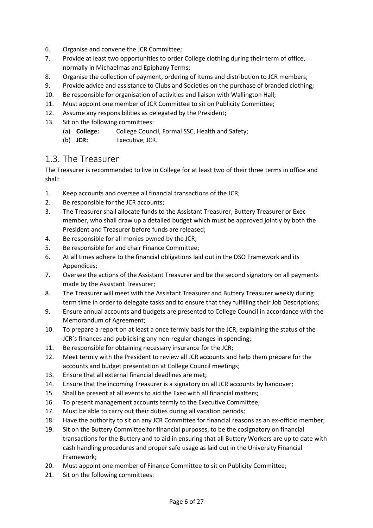- 6. Organise and convene the JCR Committee;
- 7. Provide at least two opportunities to order College clothing during their term of office, normally in Michaelmas and Epiphany Terms;
- 8. Organise the collection of payment, ordering of items and distribution to JCR members;
- 9. Provide advice and assistance to Clubs and Societies on the purchase of branded clothing;
- 10. Be responsible for organisation of activities and liaison with Wallington Hall;
- 11. Must appoint one member of JCR Committee to sit on Publicity Committee;
- 12. Assume any responsibilities as delegated by the President;
- 13. Sit on the following committees:
	- (a) **College:** College Council, Formal SSC, Health and Safety;
	- (b) **JCR:** Executive, JCR.

### 1.3. The Treasurer

The Treasurer is recommended to live in College for at least two of their three terms in office and shall:

- 1. Keep accounts and oversee all financial transactions of the JCR;
- 2. Be responsible for the JCR accounts;
- 3. The Treasurer shall allocate funds to the Assistant Treasurer, Buttery Treasurer or Exec member, who shall draw up a detailed budget which must be approved jointly by both the President and Treasurer before funds are released;
- 4. Be responsible for all monies owned by the JCR;
- 5. Be responsible for and chair Finance Committee;
- 6. At all times adhere to the financial obligations laid out in the DSO Framework and its Appendices;
- 7. Oversee the actions of the Assistant Treasurer and be the second signatory on all payments made by the Assistant Treasurer;
- 8. The Treasurer will meet with the Assistant Treasurer and Buttery Treasurer weekly during term time in order to delegate tasks and to ensure that they fulfilling their Job Descriptions;
- 9. Ensure annual accounts and budgets are presented to College Council in accordance with the Memorandum of Agreement;
- 10. To prepare a report on at least a once termly basis for the JCR, explaining the status of the JCR's finances and publicising any non-regular changes in spending;
- 11. Be responsible for obtaining necessary insurance for the JCR;
- 12. Meet termly with the President to review all JCR accounts and help them prepare for the accounts and budget presentation at College Council meetings;
- 13. Ensure that all external financial deadlines are met;
- 14. Ensure that the incoming Treasurer is a signatory on all JCR accounts by handover;
- 15. Shall be present at all events to aid the Exec with all financial matters;
- 16. To present management accounts termly to the Executive Committee;
- 17. Must be able to carry out their duties during all vacation periods;
- 18. Have the authority to sit on any JCR Committee for financial reasons as an ex-officio member;
- 19. Sit on the Buttery Committee for financial purposes, to be the cosignatory on financial transactions for the Buttery and to aid in ensuring that all Buttery Workers are up to date with cash handling procedures and proper safe usage as laid out in the University Financial Framework;
- 20. Must appoint one member of Finance Committee to sit on Publicity Committee;
- 21. Sit on the following committees: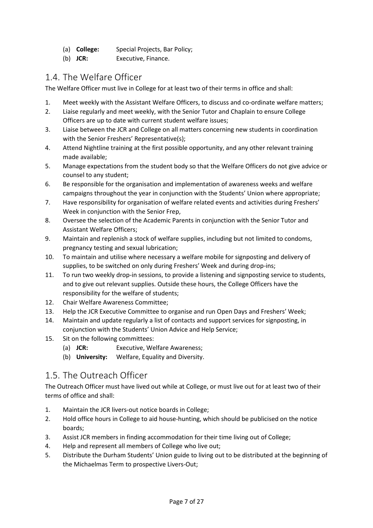- (a) **College:** Special Projects, Bar Policy;
- (b) **JCR:** Executive, Finance.

## 1.4. The Welfare Officer

The Welfare Officer must live in College for at least two of their terms in office and shall:

- 1. Meet weekly with the Assistant Welfare Officers, to discuss and co-ordinate welfare matters;
- 2. Liaise regularly and meet weekly, with the Senior Tutor and Chaplain to ensure College Officers are up to date with current student welfare issues;
- 3. Liaise between the JCR and College on all matters concerning new students in coordination with the Senior Freshers' Representative(s);
- 4. Attend Nightline training at the first possible opportunity, and any other relevant training made available;
- 5. Manage expectations from the student body so that the Welfare Officers do not give advice or counsel to any student;
- 6. Be responsible for the organisation and implementation of awareness weeks and welfare campaigns throughout the year in conjunction with the Students' Union where appropriate;
- 7. Have responsibility for organisation of welfare related events and activities during Freshers' Week in conjunction with the Senior Frep,
- 8. Oversee the selection of the Academic Parents in conjunction with the Senior Tutor and Assistant Welfare Officers;
- 9. Maintain and replenish a stock of welfare supplies, including but not limited to condoms, pregnancy testing and sexual lubrication;
- 10. To maintain and utilise where necessary a welfare mobile for signposting and delivery of supplies, to be switched on only during Freshers' Week and during drop-ins;
- 11. To run two weekly drop-in sessions, to provide a listening and signposting service to students, and to give out relevant supplies. Outside these hours, the College Officers have the responsibility for the welfare of students;
- 12. Chair Welfare Awareness Committee;
- 13. Help the JCR Executive Committee to organise and run Open Days and Freshers' Week;
- 14. Maintain and update regularly a list of contacts and support services for signposting, in conjunction with the Students' Union Advice and Help Service;
- 15. Sit on the following committees:
	- (a) **JCR:** Executive, Welfare Awareness;
	- (b) **University:** Welfare, Equality and Diversity.

# 1.5. The Outreach Officer

The Outreach Officer must have lived out while at College, or must live out for at least two of their terms of office and shall:

- 1. Maintain the JCR livers-out notice boards in College;
- 2. Hold office hours in College to aid house-hunting, which should be publicised on the notice boards;
- 3. Assist JCR members in finding accommodation for their time living out of College;
- 4. Help and represent all members of College who live out;
- 5. Distribute the Durham Students' Union guide to living out to be distributed at the beginning of the Michaelmas Term to prospective Livers-Out;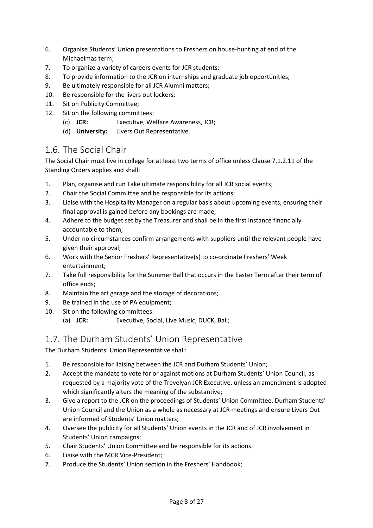- 6. Organise Students' Union presentations to Freshers on house-hunting at end of the Michaelmas term;
- 7. To organize a variety of careers events for JCR students;
- 8. To provide information to the JCR on internships and graduate job opportunities;
- 9. Be ultimately responsible for all JCR Alumni matters;
- 10. Be responsible for the livers out lockers;
- 11. Sit on Publicity Committee;
- 12. Sit on the following committees:
	- (c) **JCR:** Executive, Welfare Awareness, JCR;
	- (d) **University:** Livers Out Representative.

### 1.6. The Social Chair

The Social Chair must live in college for at least two terms of office unless Clause 7.1.2.11 of the Standing Orders applies and shall:

- 1. Plan, organise and run Take ultimate responsibility for all JCR social events;
- 2. Chair the Social Committee and be responsible for its actions;
- 3. Liaise with the Hospitality Manager on a regular basis about upcoming events, ensuring their final approval is gained before any bookings are made;
- 4. Adhere to the budget set by the Treasurer and shall be in the first instance financially accountable to them;
- 5. Under no circumstances confirm arrangements with suppliers until the relevant people have given their approval;
- 6. Work with the Senior Freshers' Representative(s) to co-ordinate Freshers' Week entertainment;
- 7. Take full responsibility for the Summer Ball that occurs in the Easter Term after their term of office ends;
- 8. Maintain the art garage and the storage of decorations;
- 9. Be trained in the use of PA equipment;
- 10. Sit on the following committees:
	- (a) **JCR:** Executive, Social, Live Music, DUCK, Ball;

### 1.7. The Durham Students' Union Representative

The Durham Students' Union Representative shall:

- 1. Be responsible for liaising between the JCR and Durham Students' Union;
- 2. Accept the mandate to vote for or against motions at Durham Students' Union Council, as requested by a majority vote of the Trevelyan JCR Executive, unless an amendment is adopted which significantly alters the meaning of the substantive;
- 3. Give a report to the JCR on the proceedings of Students' Union Committee, Durham Students' Union Council and the Union as a whole as necessary at JCR meetings and ensure Livers Out are informed of Students' Union matters;
- 4. Oversee the publicity for all Students' Union events in the JCR and of JCR involvement in Students' Union campaigns;
- 5. Chair Students' Union Committee and be responsible for its actions.
- 6. Liaise with the MCR Vice-President;
- 7. Produce the Students' Union section in the Freshers' Handbook;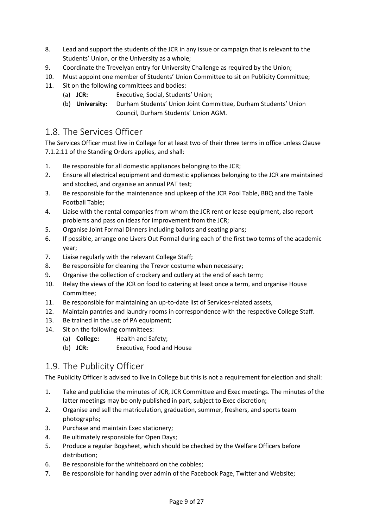- 8. Lead and support the students of the JCR in any issue or campaign that is relevant to the Students' Union, or the University as a whole;
- 9. Coordinate the Trevelyan entry for University Challenge as required by the Union;
- 10. Must appoint one member of Students' Union Committee to sit on Publicity Committee;
- 11. Sit on the following committees and bodies:
	- (a) **JCR:** Executive, Social, Students' Union;
	- (b) **University:** Durham Students' Union Joint Committee, Durham Students' Union Council, Durham Students' Union AGM.

#### 1.8. The Services Officer

The Services Officer must live in College for at least two of their three terms in office unless Clause 7.1.2.11 of the Standing Orders applies, and shall:

- 1. Be responsible for all domestic appliances belonging to the JCR;
- 2. Ensure all electrical equipment and domestic appliances belonging to the JCR are maintained and stocked, and organise an annual PAT test;
- 3. Be responsible for the maintenance and upkeep of the JCR Pool Table, BBQ and the Table Football Table;
- 4. Liaise with the rental companies from whom the JCR rent or lease equipment, also report problems and pass on ideas for improvement from the JCR;
- 5. Organise Joint Formal Dinners including ballots and seating plans;
- 6. If possible, arrange one Livers Out Formal during each of the first two terms of the academic year;
- 7. Liaise regularly with the relevant College Staff;
- 8. Be responsible for cleaning the Trevor costume when necessary;
- 9. Organise the collection of crockery and cutlery at the end of each term;
- 10. Relay the views of the JCR on food to catering at least once a term, and organise House Committee;
- 11. Be responsible for maintaining an up-to-date list of Services-related assets,
- 12. Maintain pantries and laundry rooms in correspondence with the respective College Staff.
- 13. Be trained in the use of PA equipment:
- 14. Sit on the following committees:
	- (a) **College:** Health and Safety;
	- (b) **JCR:** Executive, Food and House

# 1.9. The Publicity Officer

The Publicity Officer is advised to live in College but this is not a requirement for election and shall:

- 1. Take and publicise the minutes of JCR, JCR Committee and Exec meetings. The minutes of the latter meetings may be only published in part, subject to Exec discretion;
- 2. Organise and sell the matriculation, graduation, summer, freshers, and sports team photographs;
- 3. Purchase and maintain Exec stationery;
- 4. Be ultimately responsible for Open Days;
- 5. Produce a regular Bogsheet, which should be checked by the Welfare Officers before distribution;
- 6. Be responsible for the whiteboard on the cobbles;
- 7. Be responsible for handing over admin of the Facebook Page, Twitter and Website;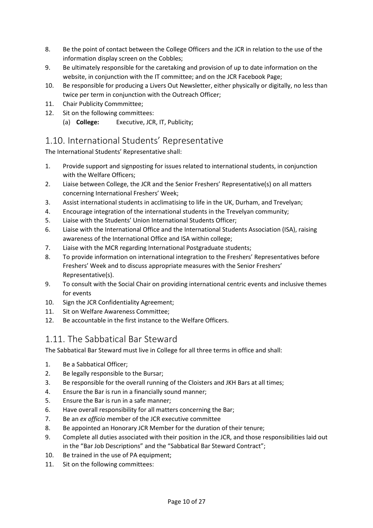- 8. Be the point of contact between the College Officers and the JCR in relation to the use of the information display screen on the Cobbles;
- 9. Be ultimately responsible for the caretaking and provision of up to date information on the website, in conjunction with the IT committee; and on the JCR Facebook Page;
- 10. Be responsible for producing a Livers Out Newsletter, either physically or digitally, no less than twice per term in conjunction with the Outreach Officer;
- 11. Chair Publicity Commmittee;
- 12. Sit on the following committees:
	- (a) **College:** Executive, JCR, IT, Publicity;

## 1.10. International Students' Representative

The International Students' Representative shall:

- 1. Provide support and signposting for issues related to international students, in conjunction with the Welfare Officers;
- 2. Liaise between College, the JCR and the Senior Freshers' Representative(s) on all matters concerning International Freshers' Week;
- 3. Assist international students in acclimatising to life in the UK, Durham, and Trevelyan;
- 4. Encourage integration of the international students in the Trevelyan community;
- 5. Liaise with the Students' Union International Students Officer;
- 6. Liaise with the International Office and the International Students Association (ISA), raising awareness of the International Office and ISA within college;
- 7. Liaise with the MCR regarding International Postgraduate students;
- 8. To provide information on international integration to the Freshers' Representatives before Freshers' Week and to discuss appropriate measures with the Senior Freshers' Representative(s).
- 9. To consult with the Social Chair on providing international centric events and inclusive themes for events
- 10. Sign the JCR Confidentiality Agreement;
- 11. Sit on Welfare Awareness Committee;
- 12. Be accountable in the first instance to the Welfare Officers.

# 1.11. The Sabbatical Bar Steward

The Sabbatical Bar Steward must live in College for all three terms in office and shall:

- 1. Be a Sabbatical Officer;
- 2. Be legally responsible to the Bursar;
- 3. Be responsible for the overall running of the Cloisters and JKH Bars at all times;
- 4. Ensure the Bar is run in a financially sound manner;
- 5. Ensure the Bar is run in a safe manner;
- 6. Have overall responsibility for all matters concerning the Bar;
- 7. Be an *ex officio* member of the JCR executive committee
- 8. Be appointed an Honorary JCR Member for the duration of their tenure;
- 9. Complete all duties associated with their position in the JCR, and those responsibilities laid out in the "Bar Job Descriptions" and the "Sabbatical Bar Steward Contract";
- 10. Be trained in the use of PA equipment;
- 11. Sit on the following committees: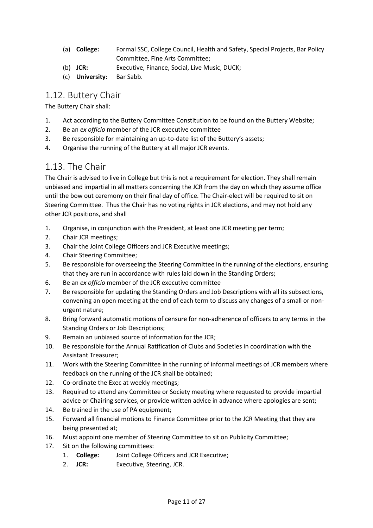- (a) **College:** Formal SSC, College Council, Health and Safety, Special Projects, Bar Policy Committee, Fine Arts Committee;
- (b) **JCR:** Executive, Finance, Social, Live Music, DUCK;
- (c) **University:** Bar Sabb.

## 1.12. Buttery Chair

The Buttery Chair shall:

- 1. Act according to the Buttery Committee Constitution to be found on the Buttery Website;
- 2. Be an *ex officio* member of the JCR executive committee
- 3. Be responsible for maintaining an up-to-date list of the Buttery's assets;
- 4. Organise the running of the Buttery at all major JCR events.

# 1.13. The Chair

The Chair is advised to live in College but this is not a requirement for election. They shall remain unbiased and impartial in all matters concerning the JCR from the day on which they assume office until the bow out ceremony on their final day of office. The Chair-elect will be required to sit on Steering Committee. Thus the Chair has no voting rights in JCR elections, and may not hold any other JCR positions, and shall

- 1. Organise, in conjunction with the President, at least one JCR meeting per term;
- 2. Chair JCR meetings;
- 3. Chair the Joint College Officers and JCR Executive meetings;
- 4. Chair Steering Committee;
- 5. Be responsible for overseeing the Steering Committee in the running of the elections, ensuring that they are run in accordance with rules laid down in the Standing Orders;
- 6. Be an *ex officio* member of the JCR executive committee
- 7. Be responsible for updating the Standing Orders and Job Descriptions with all its subsections, convening an open meeting at the end of each term to discuss any changes of a small or nonurgent nature;
- 8. Bring forward automatic motions of censure for non-adherence of officers to any terms in the Standing Orders or Job Descriptions;
- 9. Remain an unbiased source of information for the JCR;
- 10. Be responsible for the Annual Ratification of Clubs and Societies in coordination with the Assistant Treasurer;
- 11. Work with the Steering Committee in the running of informal meetings of JCR members where feedback on the running of the JCR shall be obtained;
- 12. Co-ordinate the Exec at weekly meetings;
- 13. Required to attend any Committee or Society meeting where requested to provide impartial advice or Chairing services, or provide written advice in advance where apologies are sent;
- 14. Be trained in the use of PA equipment:
- 15. Forward all financial motions to Finance Committee prior to the JCR Meeting that they are being presented at;
- 16. Must appoint one member of Steering Committee to sit on Publicity Committee;
- 17. Sit on the following committees:
	- 1. **College:** Joint College Officers and JCR Executive;
	- 2. **JCR:** Executive, Steering, JCR.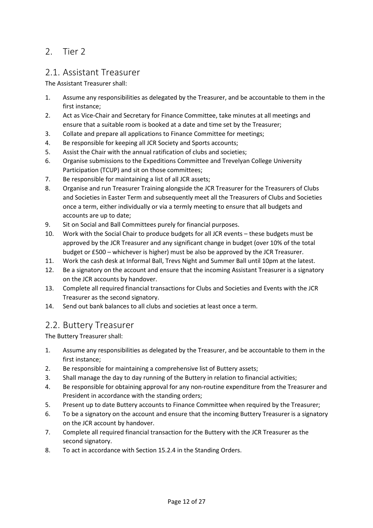## 2. Tier 2

## 2.1. Assistant Treasurer

The Assistant Treasurer shall:

- 1. Assume any responsibilities as delegated by the Treasurer, and be accountable to them in the first instance;
- 2. Act as Vice-Chair and Secretary for Finance Committee, take minutes at all meetings and ensure that a suitable room is booked at a date and time set by the Treasurer;
- 3. Collate and prepare all applications to Finance Committee for meetings;
- 4. Be responsible for keeping all JCR Society and Sports accounts;
- 5. Assist the Chair with the annual ratification of clubs and societies;
- 6. Organise submissions to the Expeditions Committee and Trevelyan College University Participation (TCUP) and sit on those committees;
- 7. Be responsible for maintaining a list of all JCR assets;
- 8. Organise and run Treasurer Training alongside the JCR Treasurer for the Treasurers of Clubs and Societies in Easter Term and subsequently meet all the Treasurers of Clubs and Societies once a term, either individually or via a termly meeting to ensure that all budgets and accounts are up to date;
- 9. Sit on Social and Ball Committees purely for financial purposes.
- 10. Work with the Social Chair to produce budgets for all JCR events these budgets must be approved by the JCR Treasurer and any significant change in budget (over 10% of the total budget or £500 – whichever is higher) must be also be approved by the JCR Treasurer.
- 11. Work the cash desk at Informal Ball, Trevs Night and Summer Ball until 10pm at the latest.
- 12. Be a signatory on the account and ensure that the incoming Assistant Treasurer is a signatory on the JCR accounts by handover.
- 13. Complete all required financial transactions for Clubs and Societies and Events with the JCR Treasurer as the second signatory.
- 14. Send out bank balances to all clubs and societies at least once a term.

### 2.2. Buttery Treasurer

The Buttery Treasurer shall:

- 1. Assume any responsibilities as delegated by the Treasurer, and be accountable to them in the first instance;
- 2. Be responsible for maintaining a comprehensive list of Buttery assets;
- 3. Shall manage the day to day running of the Buttery in relation to financial activities;
- 4. Be responsible for obtaining approval for any non-routine expenditure from the Treasurer and President in accordance with the standing orders;
- 5. Present up to date Buttery accounts to Finance Committee when required by the Treasurer;
- 6. To be a signatory on the account and ensure that the incoming Buttery Treasurer is a signatory on the JCR account by handover.
- 7. Complete all required financial transaction for the Buttery with the JCR Treasurer as the second signatory.
- 8. To act in accordance with Section 15.2.4 in the Standing Orders.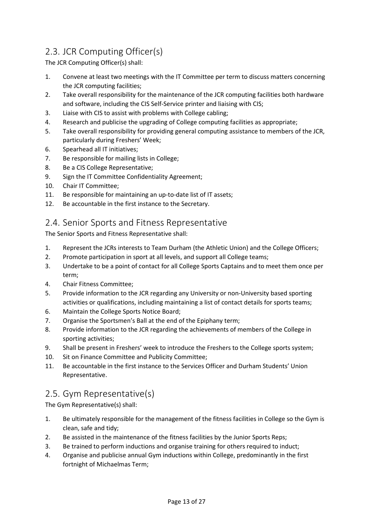# 2.3. JCR Computing Officer(s)

The JCR Computing Officer(s) shall:

- 1. Convene at least two meetings with the IT Committee per term to discuss matters concerning the JCR computing facilities;
- 2. Take overall responsibility for the maintenance of the JCR computing facilities both hardware and software, including the CIS Self-Service printer and liaising with CIS;
- 3. Liaise with CIS to assist with problems with College cabling;
- 4. Research and publicise the upgrading of College computing facilities as appropriate;
- 5. Take overall responsibility for providing general computing assistance to members of the JCR, particularly during Freshers' Week;
- 6. Spearhead all IT initiatives;
- 7. Be responsible for mailing lists in College;
- 8. Be a CIS College Representative;
- 9. Sign the IT Committee Confidentiality Agreement;
- 10. Chair IT Committee;
- 11. Be responsible for maintaining an up-to-date list of IT assets;
- 12. Be accountable in the first instance to the Secretary.

## 2.4. Senior Sports and Fitness Representative

The Senior Sports and Fitness Representative shall:

- 1. Represent the JCRs interests to Team Durham (the Athletic Union) and the College Officers;
- 2. Promote participation in sport at all levels, and support all College teams;
- 3. Undertake to be a point of contact for all College Sports Captains and to meet them once per term;
- 4. Chair Fitness Committee;
- 5. Provide information to the JCR regarding any University or non-University based sporting activities or qualifications, including maintaining a list of contact details for sports teams;
- 6. Maintain the College Sports Notice Board;
- 7. Organise the Sportsmen's Ball at the end of the Epiphany term;
- 8. Provide information to the JCR regarding the achievements of members of the College in sporting activities;
- 9. Shall be present in Freshers' week to introduce the Freshers to the College sports system;
- 10. Sit on Finance Committee and Publicity Committee;
- 11. Be accountable in the first instance to the Services Officer and Durham Students' Union Representative.

## 2.5. Gym Representative(s)

The Gym Representative(s) shall:

- 1. Be ultimately responsible for the management of the fitness facilities in College so the Gym is clean, safe and tidy;
- 2. Be assisted in the maintenance of the fitness facilities by the Junior Sports Reps;
- 3. Be trained to perform inductions and organise training for others required to induct;
- 4. Organise and publicise annual Gym inductions within College, predominantly in the first fortnight of Michaelmas Term;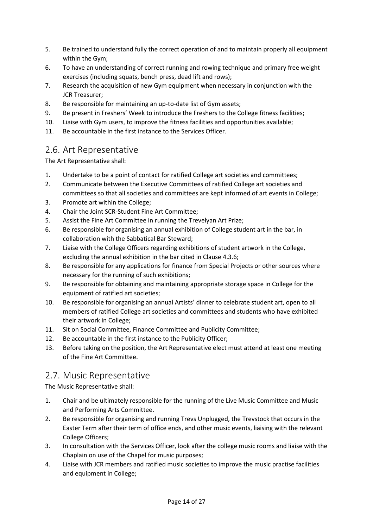- 5. Be trained to understand fully the correct operation of and to maintain properly all equipment within the Gym;
- 6. To have an understanding of correct running and rowing technique and primary free weight exercises (including squats, bench press, dead lift and rows);
- 7. Research the acquisition of new Gym equipment when necessary in conjunction with the JCR Treasurer;
- 8. Be responsible for maintaining an up-to-date list of Gym assets;
- 9. Be present in Freshers' Week to introduce the Freshers to the College fitness facilities;
- 10. Liaise with Gym users, to improve the fitness facilities and opportunities available;
- 11. Be accountable in the first instance to the Services Officer.

## 2.6. Art Representative

The Art Representative shall:

- 1. Undertake to be a point of contact for ratified College art societies and committees;
- 2. Communicate between the Executive Committees of ratified College art societies and committees so that all societies and committees are kept informed of art events in College;
- 3. Promote art within the College;
- 4. Chair the Joint SCR-Student Fine Art Committee;
- 5. Assist the Fine Art Committee in running the Trevelyan Art Prize;
- 6. Be responsible for organising an annual exhibition of College student art in the bar, in collaboration with the Sabbatical Bar Steward;
- 7. Liaise with the College Officers regarding exhibitions of student artwork in the College, excluding the annual exhibition in the bar cited in Clause 4.3.6;
- 8. Be responsible for any applications for finance from Special Projects or other sources where necessary for the running of such exhibitions;
- 9. Be responsible for obtaining and maintaining appropriate storage space in College for the equipment of ratified art societies;
- 10. Be responsible for organising an annual Artists' dinner to celebrate student art, open to all members of ratified College art societies and committees and students who have exhibited their artwork in College;
- 11. Sit on Social Committee, Finance Committee and Publicity Committee;
- 12. Be accountable in the first instance to the Publicity Officer;
- 13. Before taking on the position, the Art Representative elect must attend at least one meeting of the Fine Art Committee.

## 2.7. Music Representative

The Music Representative shall:

- 1. Chair and be ultimately responsible for the running of the Live Music Committee and Music and Performing Arts Committee.
- 2. Be responsible for organising and running Trevs Unplugged, the Trevstock that occurs in the Easter Term after their term of office ends, and other music events, liaising with the relevant College Officers;
- 3. In consultation with the Services Officer, look after the college music rooms and liaise with the Chaplain on use of the Chapel for music purposes;
- 4. Liaise with JCR members and ratified music societies to improve the music practise facilities and equipment in College;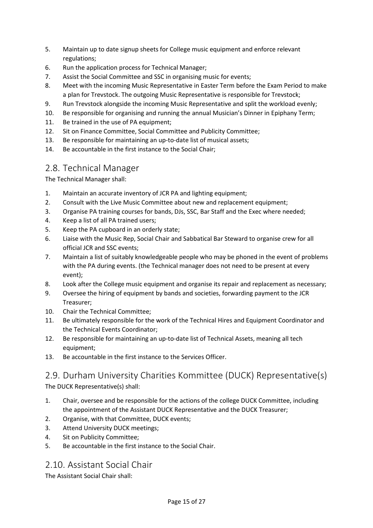- 5. Maintain up to date signup sheets for College music equipment and enforce relevant regulations;
- 6. Run the application process for Technical Manager;
- 7. Assist the Social Committee and SSC in organising music for events;
- 8. Meet with the incoming Music Representative in Easter Term before the Exam Period to make a plan for Trevstock. The outgoing Music Representative is responsible for Trevstock;
- 9. Run Trevstock alongside the incoming Music Representative and split the workload evenly;
- 10. Be responsible for organising and running the annual Musician's Dinner in Epiphany Term;
- 11. Be trained in the use of PA equipment;
- 12. Sit on Finance Committee, Social Committee and Publicity Committee;
- 13. Be responsible for maintaining an up-to-date list of musical assets;
- 14. Be accountable in the first instance to the Social Chair;

## 2.8. Technical Manager

The Technical Manager shall:

- 1. Maintain an accurate inventory of JCR PA and lighting equipment;
- 2. Consult with the Live Music Committee about new and replacement equipment;
- 3. Organise PA training courses for bands, DJs, SSC, Bar Staff and the Exec where needed;
- 4. Keep a list of all PA trained users;
- 5. Keep the PA cupboard in an orderly state;
- 6. Liaise with the Music Rep, Social Chair and Sabbatical Bar Steward to organise crew for all official JCR and SSC events;
- 7. Maintain a list of suitably knowledgeable people who may be phoned in the event of problems with the PA during events. (the Technical manager does not need to be present at every event);
- 8. Look after the College music equipment and organise its repair and replacement as necessary;
- 9. Oversee the hiring of equipment by bands and societies, forwarding payment to the JCR Treasurer;
- 10. Chair the Technical Committee;
- 11. Be ultimately responsible for the work of the Technical Hires and Equipment Coordinator and the Technical Events Coordinator;
- 12. Be responsible for maintaining an up-to-date list of Technical Assets, meaning all tech equipment:
- 13. Be accountable in the first instance to the Services Officer.

# 2.9. Durham University Charities Kommittee (DUCK) Representative(s)

The DUCK Representative(s) shall:

- 1. Chair, oversee and be responsible for the actions of the college DUCK Committee, including the appointment of the Assistant DUCK Representative and the DUCK Treasurer;
- 2. Organise, with that Committee, DUCK events;
- 3. Attend University DUCK meetings;
- 4. Sit on Publicity Committee;
- 5. Be accountable in the first instance to the Social Chair.

## 2.10. Assistant Social Chair

The Assistant Social Chair shall: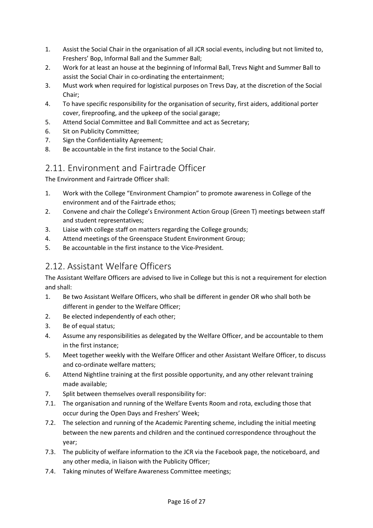- 1. Assist the Social Chair in the organisation of all JCR social events, including but not limited to, Freshers' Bop, Informal Ball and the Summer Ball;
- 2. Work for at least an house at the beginning of Informal Ball, Trevs Night and Summer Ball to assist the Social Chair in co-ordinating the entertainment;
- 3. Must work when required for logistical purposes on Trevs Day, at the discretion of the Social Chair;
- 4. To have specific responsibility for the organisation of security, first aiders, additional porter cover, fireproofing, and the upkeep of the social garage;
- 5. Attend Social Committee and Ball Committee and act as Secretary;
- 6. Sit on Publicity Committee;
- 7. Sign the Confidentiality Agreement;
- 8. Be accountable in the first instance to the Social Chair.

## 2.11. Environment and Fairtrade Officer

The Environment and Fairtrade Officer shall:

- 1. Work with the College "Environment Champion" to promote awareness in College of the environment and of the Fairtrade ethos;
- 2. Convene and chair the College's Environment Action Group (Green T) meetings between staff and student representatives;
- 3. Liaise with college staff on matters regarding the College grounds;
- 4. Attend meetings of the Greenspace Student Environment Group;
- 5. Be accountable in the first instance to the Vice-President.

## 2.12. Assistant Welfare Officers

The Assistant Welfare Officers are advised to live in College but this is not a requirement for election and shall:

- 1. Be two Assistant Welfare Officers, who shall be different in gender OR who shall both be different in gender to the Welfare Officer;
- 2. Be elected independently of each other;
- 3. Be of equal status;
- 4. Assume any responsibilities as delegated by the Welfare Officer, and be accountable to them in the first instance;
- 5. Meet together weekly with the Welfare Officer and other Assistant Welfare Officer, to discuss and co-ordinate welfare matters;
- 6. Attend Nightline training at the first possible opportunity, and any other relevant training made available;
- 7. Split between themselves overall responsibility for:
- 7.1. The organisation and running of the Welfare Events Room and rota, excluding those that occur during the Open Days and Freshers' Week;
- 7.2. The selection and running of the Academic Parenting scheme, including the initial meeting between the new parents and children and the continued correspondence throughout the year;
- 7.3. The publicity of welfare information to the JCR via the Facebook page, the noticeboard, and any other media, in liaison with the Publicity Officer;
- 7.4. Taking minutes of Welfare Awareness Committee meetings;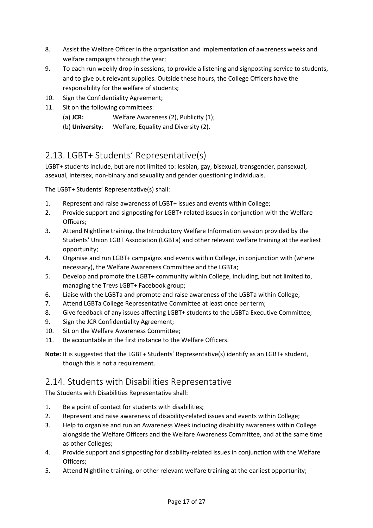- 8. Assist the Welfare Officer in the organisation and implementation of awareness weeks and welfare campaigns through the year;
- 9. To each run weekly drop-in sessions, to provide a listening and signposting service to students, and to give out relevant supplies. Outside these hours, the College Officers have the responsibility for the welfare of students;
- 10. Sign the Confidentiality Agreement;
- 11. Sit on the following committees:
	- (a) **JCR:** Welfare Awareness (2), Publicity (1);
	- (b) **University**: Welfare, Equality and Diversity (2).

## 2.13. LGBT+ Students' Representative(s)

LGBT+ students include, but are not limited to: lesbian, gay, bisexual, transgender, pansexual, asexual, intersex, non-binary and sexuality and gender questioning individuals.

The LGBT+ Students' Representative(s) shall:

- 1. Represent and raise awareness of LGBT+ issues and events within College;
- 2. Provide support and signposting for LGBT+ related issues in conjunction with the Welfare Officers;
- 3. Attend Nightline training, the Introductory Welfare Information session provided by the Students' Union LGBT Association (LGBTa) and other relevant welfare training at the earliest opportunity;
- 4. Organise and run LGBT+ campaigns and events within College, in conjunction with (where necessary), the Welfare Awareness Committee and the LGBTa;
- 5. Develop and promote the LGBT+ community within College, including, but not limited to, managing the Trevs LGBT+ Facebook group;
- 6. Liaise with the LGBTa and promote and raise awareness of the LGBTa within College;
- 7. Attend LGBTa College Representative Committee at least once per term;
- 8. Give feedback of any issues affecting LGBT+ students to the LGBTa Executive Committee;
- 9. Sign the JCR Confidentiality Agreement;
- 10. Sit on the Welfare Awareness Committee;
- 11. Be accountable in the first instance to the Welfare Officers.

**Note:** It is suggested that the LGBT+ Students' Representative(s) identify as an LGBT+ student, though this is not a requirement.

## 2.14. Students with Disabilities Representative

The Students with Disabilities Representative shall:

- 1. Be a point of contact for students with disabilities;
- 2. Represent and raise awareness of disability-related issues and events within College;
- 3. Help to organise and run an Awareness Week including disability awareness within College alongside the Welfare Officers and the Welfare Awareness Committee, and at the same time as other Colleges;
- 4. Provide support and signposting for disability-related issues in conjunction with the Welfare Officers;
- 5. Attend Nightline training, or other relevant welfare training at the earliest opportunity;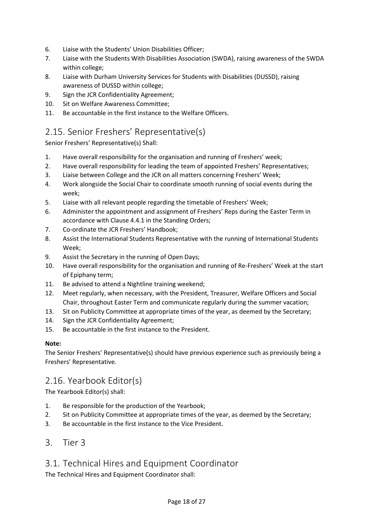- 6. Liaise with the Students' Union Disabilities Officer;
- 7. Liaise with the Students With Disabilities Association (SWDA), raising awareness of the SWDA within college;
- 8. Liaise with Durham University Services for Students with Disabilities (DUSSD), raising awareness of DUSSD within college;
- 9. Sign the JCR Confidentiality Agreement;
- 10. Sit on Welfare Awareness Committee;
- 11. Be accountable in the first instance to the Welfare Officers.

## 2.15. Senior Freshers' Representative(s)

Senior Freshers' Representative(s) Shall:

- 1. Have overall responsibility for the organisation and running of Freshers' week;
- 2. Have overall responsibility for leading the team of appointed Freshers' Representatives;
- 3. Liaise between College and the JCR on all matters concerning Freshers' Week;
- 4. Work alongside the Social Chair to coordinate smooth running of social events during the week;
- 5. Liaise with all relevant people regarding the timetable of Freshers' Week;
- 6. Administer the appointment and assignment of Freshers' Reps during the Easter Term in accordance with Clause 4.4.1 in the Standing Orders;
- 7. Co-ordinate the JCR Freshers' Handbook;
- 8. Assist the International Students Representative with the running of International Students Week;
- 9. Assist the Secretary in the running of Open Days;
- 10. Have overall responsibility for the organisation and running of Re-Freshers' Week at the start of Epiphany term;
- 11. Be advised to attend a Nightline training weekend;
- 12. Meet regularly, when necessary, with the President, Treasurer, Welfare Officers and Social Chair, throughout Easter Term and communicate regularly during the summer vacation;
- 13. Sit on Publicity Committee at appropriate times of the year, as deemed by the Secretary;
- 14. Sign the JCR Confidentiality Agreement;
- 15. Be accountable in the first instance to the President.

#### **Note:**

The Senior Freshers' Representative(s) should have previous experience such as previously being a Freshers' Representative.

## 2.16. Yearbook Editor(s)

The Yearbook Editor(s) shall:

- 1. Be responsible for the production of the Yearbook;
- 2. Sit on Publicity Committee at appropriate times of the year, as deemed by the Secretary;
- 3. Be accountable in the first instance to the Vice President.
- 3. Tier 3

## 3.1. Technical Hires and Equipment Coordinator

The Technical Hires and Equipment Coordinator shall: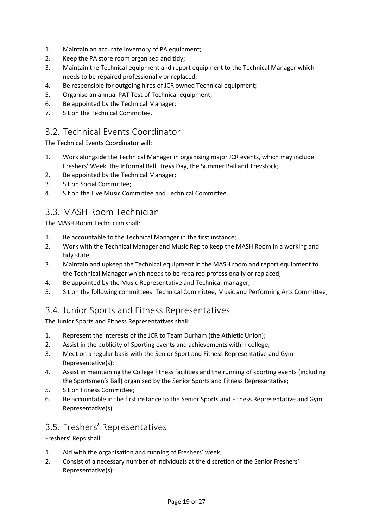- 1. Maintain an accurate inventory of PA equipment;
- 2. Keep the PA store room organised and tidy;
- 3. Maintain the Technical equipment and report equipment to the Technical Manager which needs to be repaired professionally or replaced;
- 4. Be responsible for outgoing hires of JCR owned Technical equipment;
- 5. Organise an annual PAT Test of Technical equipment;
- 6. Be appointed by the Technical Manager;
- 7. Sit on the Technical Committee.

#### 3.2. Technical Events Coordinator

The Technical Events Coordinator will:

- 1. Work alongside the Technical Manager in organising major JCR events, which may include Freshers' Week, the Informal Ball, Trevs Day, the Summer Ball and Trevstock;
- 2. Be appointed by the Technical Manager;
- 3. Sit on Social Committee;
- 4. Sit on the Live Music Committee and Technical Committee.

## 3.3. MASH Room Technician

The MASH Room Technician shall:

- 1. Be accountable to the Technical Manager in the first instance;
- 2. Work with the Technical Manager and Music Rep to keep the MASH Room in a working and tidy state;
- 3. Maintain and upkeep the Technical equipment in the MASH room and report equipment to the Technical Manager which needs to be repaired professionally or replaced;
- 4. Be appointed by the Music Representative and Technical manager;
- 5. Sit on the following committees: Technical Committee, Music and Performing Arts Committee;

### 3.4. Junior Sports and Fitness Representatives

The Junior Sports and Fitness Representatives shall:

- 1. Represent the interests of the JCR to Team Durham (the Athletic Union);
- 2. Assist in the publicity of Sporting events and achievements within college;
- 3. Meet on a regular basis with the Senior Sport and Fitness Representative and Gym Representative(s);
- 4. Assist in maintaining the College fitness facilities and the running of sporting events (including the Sportsmen's Ball) organised by the Senior Sports and Fitness Representative;
- 5. Sit on Fitness Committee;
- 6. Be accountable in the first instance to the Senior Sports and Fitness Representative and Gym Representative(s).

### 3.5. Freshers' Representatives

Freshers' Reps shall:

- 1. Aid with the organisation and running of Freshers' week;
- 2. Consist of a necessary number of individuals at the discretion of the Senior Freshers' Representative(s);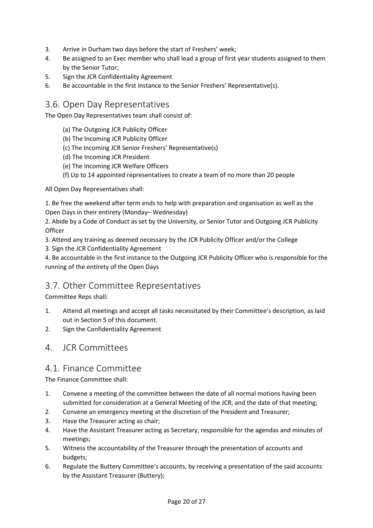- 3. Arrive in Durham two days before the start of Freshers' week;
- 4. Be assigned to an Exec member who shall lead a group of first year students assigned to them by the Senior Tutor;
- 5. Sign the JCR Confidentiality Agreement
- 6. Be accountable in the first instance to the Senior Freshers' Representative(s).

#### 3.6. Open Day Representatives

The Open Day Representatives team shall consist of:

- (a) The Outgoing JCR Publicity Officer
- (b) The Incoming JCR Publicity Officer
- (c) The Incoming JCR Senior Freshers' Representative(s)
- (d) The Incoming JCR President
- (e) The Incoming JCR Welfare Officers
- (f) Up to 14 appointed representatives to create a team of no more than 20 people

All Open Day Representatives shall:

1. Be free the weekend after term ends to help with preparation and organisation as well as the Open Days in their entirety (Monday– Wednesday)

2. Abide by a Code of Conduct as set by the University, or Senior Tutor and Outgoing JCR Publicity **Officer** 

3. Attend any training as deemed necessary by the JCR Publicity Officer and/or the College

3. Sign the JCR Confidentiality Agreement

4. Be accountable in the first instance to the Outgoing JCR Publicity Officer who is responsible for the running of the entirety of the Open Days

### 3.7. Other Committee Representatives

Committee Reps shall:

- 1. Attend all meetings and accept all tasks necessitated by their Committee's description, as laid out in Section 5 of this document.
- 2. Sign the Confidentiality Agreement

### 4. JCR Committees

#### 4.1. Finance Committee

The Finance Committee shall:

- 1. Convene a meeting of the committee between the date of all normal motions having been submitted for consideration at a General Meeting of the JCR, and the date of that meeting;
- 2. Convene an emergency meeting at the discretion of the President and Treasurer;
- 3. Have the Treasurer acting as chair;
- 4. Have the Assistant Treasurer acting as Secretary, responsible for the agendas and minutes of meetings;
- 5. Witness the accountability of the Treasurer through the presentation of accounts and budgets;
- 6. Regulate the Buttery Committee's accounts, by receiving a presentation of the said accounts by the Assistant Treasurer (Buttery);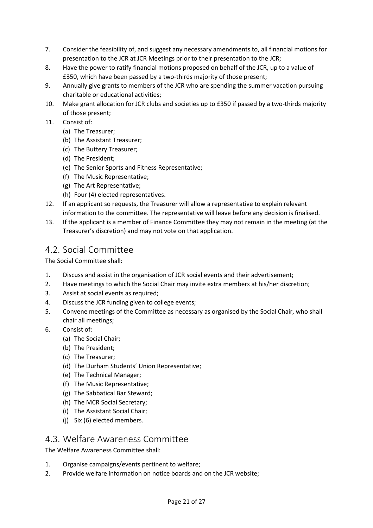- 7. Consider the feasibility of, and suggest any necessary amendments to, all financial motions for presentation to the JCR at JCR Meetings prior to their presentation to the JCR;
- 8. Have the power to ratify financial motions proposed on behalf of the JCR, up to a value of £350, which have been passed by a two-thirds majority of those present;
- 9. Annually give grants to members of the JCR who are spending the summer vacation pursuing charitable or educational activities;
- 10. Make grant allocation for JCR clubs and societies up to £350 if passed by a two-thirds majority of those present;
- 11. Consist of:
	- (a) The Treasurer;
	- (b) The Assistant Treasurer;
	- (c) The Buttery Treasurer;
	- (d) The President;
	- (e) The Senior Sports and Fitness Representative;
	- (f) The Music Representative;
	- (g) The Art Representative;
	- (h) Four (4) elected representatives.
- 12. If an applicant so requests, the Treasurer will allow a representative to explain relevant information to the committee. The representative will leave before any decision is finalised.
- 13. If the applicant is a member of Finance Committee they may not remain in the meeting (at the Treasurer's discretion) and may not vote on that application.

## 4.2. Social Committee

The Social Committee shall:

- 1. Discuss and assist in the organisation of JCR social events and their advertisement;
- 2. Have meetings to which the Social Chair may invite extra members at his/her discretion;
- 3. Assist at social events as required;
- 4. Discuss the JCR funding given to college events;
- 5. Convene meetings of the Committee as necessary as organised by the Social Chair, who shall chair all meetings;
- 6. Consist of:
	- (a) The Social Chair;
	- (b) The President;
	- (c) The Treasurer;
	- (d) The Durham Students' Union Representative;
	- (e) The Technical Manager;
	- (f) The Music Representative;
	- (g) The Sabbatical Bar Steward;
	- (h) The MCR Social Secretary;
	- (i) The Assistant Social Chair;
	- (j) Six (6) elected members.

#### 4.3. Welfare Awareness Committee

The Welfare Awareness Committee shall:

- 1. Organise campaigns/events pertinent to welfare;
- 2. Provide welfare information on notice boards and on the JCR website;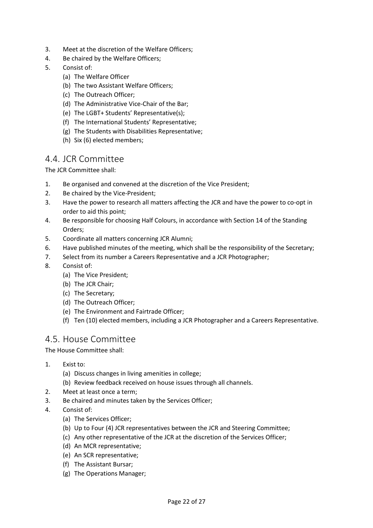- 3. Meet at the discretion of the Welfare Officers;
- 4. Be chaired by the Welfare Officers;
- 5. Consist of:
	- (a) The Welfare Officer
	- (b) The two Assistant Welfare Officers;
	- (c) The Outreach Officer;
	- (d) The Administrative Vice-Chair of the Bar;
	- (e) The LGBT+ Students' Representative(s);
	- (f) The International Students' Representative;
	- (g) The Students with Disabilities Representative;
	- (h) Six (6) elected members;

#### 4.4. JCR Committee

The JCR Committee shall:

- 1. Be organised and convened at the discretion of the Vice President;
- 2. Be chaired by the Vice-President;
- 3. Have the power to research all matters affecting the JCR and have the power to co-opt in order to aid this point;
- 4. Be responsible for choosing Half Colours, in accordance with Section 14 of the Standing Orders;
- 5. Coordinate all matters concerning JCR Alumni;
- 6. Have published minutes of the meeting, which shall be the responsibility of the Secretary;
- 7. Select from its number a Careers Representative and a JCR Photographer;
- 8. Consist of:
	- (a) The Vice President;
	- (b) The JCR Chair;
	- (c) The Secretary;
	- (d) The Outreach Officer;
	- (e) The Environment and Fairtrade Officer;
	- (f) Ten (10) elected members, including a JCR Photographer and a Careers Representative.

### 4.5. House Committee

The House Committee shall:

- 1. Exist to:
	- (a) Discuss changes in living amenities in college;
	- (b) Review feedback received on house issues through all channels.
- 2. Meet at least once a term;
- 3. Be chaired and minutes taken by the Services Officer;
- 4. Consist of:
	- (a) The Services Officer;
	- (b) Up to Four (4) JCR representatives between the JCR and Steering Committee;
	- (c) Any other representative of the JCR at the discretion of the Services Officer;
	- (d) An MCR representative;
	- (e) An SCR representative;
	- (f) The Assistant Bursar;
	- (g) The Operations Manager;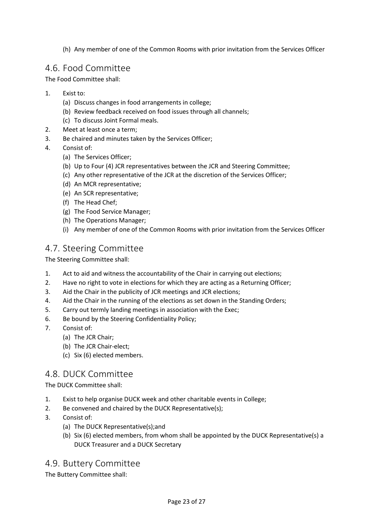(h) Any member of one of the Common Rooms with prior invitation from the Services Officer

## 4.6. Food Committee

The Food Committee shall:

- 1. Exist to:
	- (a) Discuss changes in food arrangements in college;
	- (b) Review feedback received on food issues through all channels;
	- (c) To discuss Joint Formal meals.
- 2. Meet at least once a term;
- 3. Be chaired and minutes taken by the Services Officer;
- 4. Consist of:
	- (a) The Services Officer;
	- (b) Up to Four (4) JCR representatives between the JCR and Steering Committee;
	- (c) Any other representative of the JCR at the discretion of the Services Officer;
	- (d) An MCR representative;
	- (e) An SCR representative;
	- (f) The Head Chef;
	- (g) The Food Service Manager;
	- (h) The Operations Manager;
	- (i) Any member of one of the Common Rooms with prior invitation from the Services Officer

## 4.7. Steering Committee

The Steering Committee shall:

- 1. Act to aid and witness the accountability of the Chair in carrying out elections;
- 2. Have no right to vote in elections for which they are acting as a Returning Officer;
- 3. Aid the Chair in the publicity of JCR meetings and JCR elections;
- 4. Aid the Chair in the running of the elections as set down in the Standing Orders;
- 5. Carry out termly landing meetings in association with the Exec;
- 6. Be bound by the Steering Confidentiality Policy;
- 7. Consist of:
	- (a) The JCR Chair;
	- (b) The JCR Chair-elect;
	- (c) Six (6) elected members.

### 4.8. DUCK Committee

The DUCK Committee shall:

- 1. Exist to help organise DUCK week and other charitable events in College;
- 2. Be convened and chaired by the DUCK Representative(s);
- 3. Consist of:
	- (a) The DUCK Representative(s);and
	- (b) Six (6) elected members, from whom shall be appointed by the DUCK Representative(s) a DUCK Treasurer and a DUCK Secretary

## 4.9. Buttery Committee

The Buttery Committee shall: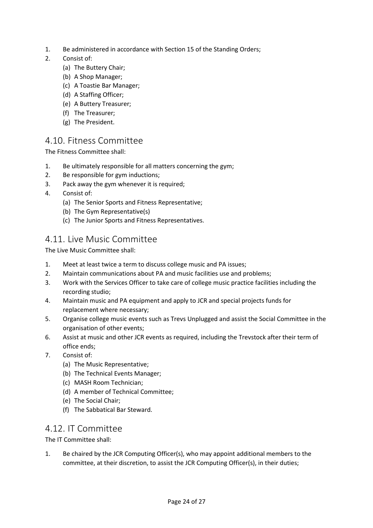- 1. Be administered in accordance with Section 15 of the Standing Orders;
- 2. Consist of:
	- (a) The Buttery Chair;
	- (b) A Shop Manager;
	- (c) A Toastie Bar Manager;
	- (d) A Staffing Officer;
	- (e) A Buttery Treasurer;
	- (f) The Treasurer;
	- (g) The President.

### 4.10. Fitness Committee

The Fitness Committee shall:

- 1. Be ultimately responsible for all matters concerning the gym;
- 2. Be responsible for gym inductions;
- 3. Pack away the gym whenever it is required;
- 4. Consist of:
	- (a) The Senior Sports and Fitness Representative;
	- (b) The Gym Representative(s)
	- (c) The Junior Sports and Fitness Representatives.

## 4.11. Live Music Committee

The Live Music Committee shall:

- 1. Meet at least twice a term to discuss college music and PA issues;
- 2. Maintain communications about PA and music facilities use and problems;
- 3. Work with the Services Officer to take care of college music practice facilities including the recording studio;
- 4. Maintain music and PA equipment and apply to JCR and special projects funds for replacement where necessary;
- 5. Organise college music events such as Trevs Unplugged and assist the Social Committee in the organisation of other events;
- 6. Assist at music and other JCR events as required, including the Trevstock after their term of office ends;
- 7. Consist of:
	- (a) The Music Representative;
	- (b) The Technical Events Manager;
	- (c) MASH Room Technician;
	- (d) A member of Technical Committee;
	- (e) The Social Chair;
	- (f) The Sabbatical Bar Steward.

#### 4.12. IT Committee

The IT Committee shall:

1. Be chaired by the JCR Computing Officer(s), who may appoint additional members to the committee, at their discretion, to assist the JCR Computing Officer(s), in their duties;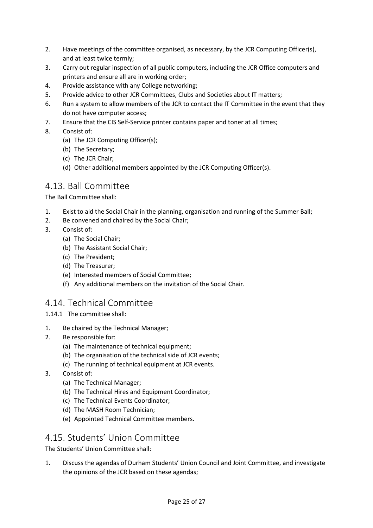- 2. Have meetings of the committee organised, as necessary, by the JCR Computing Officer(s), and at least twice termly;
- 3. Carry out regular inspection of all public computers, including the JCR Office computers and printers and ensure all are in working order;
- 4. Provide assistance with any College networking;
- 5. Provide advice to other JCR Committees, Clubs and Societies about IT matters;
- 6. Run a system to allow members of the JCR to contact the IT Committee in the event that they do not have computer access;
- 7. Ensure that the CIS Self-Service printer contains paper and toner at all times;
- 8. Consist of:
	- (a) The JCR Computing Officer(s);
	- (b) The Secretary;
	- (c) The JCR Chair;
	- (d) Other additional members appointed by the JCR Computing Officer(s).

#### 4.13. Ball Committee

The Ball Committee shall:

- 1. Exist to aid the Social Chair in the planning, organisation and running of the Summer Ball;
- 2. Be convened and chaired by the Social Chair;
- 3. Consist of:
	- (a) The Social Chair;
	- (b) The Assistant Social Chair;
	- (c) The President;
	- (d) The Treasurer;
	- (e) Interested members of Social Committee;
	- (f) Any additional members on the invitation of the Social Chair.

### 4.14. Technical Committee

1.14.1 The committee shall:

- 1. Be chaired by the Technical Manager;
- 2. Be responsible for:
	- (a) The maintenance of technical equipment;
	- (b) The organisation of the technical side of JCR events;
	- (c) The running of technical equipment at JCR events.
- 3. Consist of:
	- (a) The Technical Manager;
	- (b) The Technical Hires and Equipment Coordinator;
	- (c) The Technical Events Coordinator;
	- (d) The MASH Room Technician;
	- (e) Appointed Technical Committee members.

#### 4.15. Students' Union Committee

The Students' Union Committee shall:

1. Discuss the agendas of Durham Students' Union Council and Joint Committee, and investigate the opinions of the JCR based on these agendas;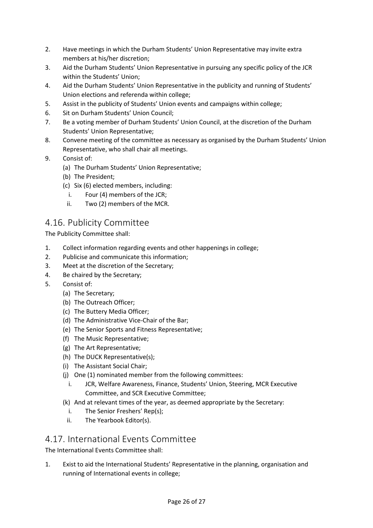- 2. Have meetings in which the Durham Students' Union Representative may invite extra members at his/her discretion;
- 3. Aid the Durham Students' Union Representative in pursuing any specific policy of the JCR within the Students' Union;
- 4. Aid the Durham Students' Union Representative in the publicity and running of Students' Union elections and referenda within college;
- 5. Assist in the publicity of Students' Union events and campaigns within college;
- 6. Sit on Durham Students' Union Council;
- 7. Be a voting member of Durham Students' Union Council, at the discretion of the Durham Students' Union Representative;
- 8. Convene meeting of the committee as necessary as organised by the Durham Students' Union Representative, who shall chair all meetings.
- 9. Consist of:
	- (a) The Durham Students' Union Representative;
	- (b) The President;
	- (c) Six (6) elected members, including:
		- i. Four (4) members of the JCR;
	- ii. Two (2) members of the MCR.

### 4.16. Publicity Committee

The Publicity Committee shall:

- 1. Collect information regarding events and other happenings in college;
- 2. Publicise and communicate this information;
- 3. Meet at the discretion of the Secretary;
- 4. Be chaired by the Secretary;
- 5. Consist of:
	- (a) The Secretary;
	- (b) The Outreach Officer;
	- (c) The Buttery Media Officer;
	- (d) The Administrative Vice-Chair of the Bar;
	- (e) The Senior Sports and Fitness Representative;
	- (f) The Music Representative;
	- (g) The Art Representative;
	- (h) The DUCK Representative(s);
	- (i) The Assistant Social Chair;
	- (j) One (1) nominated member from the following committees:
		- i. JCR, Welfare Awareness, Finance, Students' Union, Steering, MCR Executive Committee, and SCR Executive Committee;
	- (k) And at relevant times of the year, as deemed appropriate by the Secretary:
		- i. The Senior Freshers' Rep(s);
		- ii. The Yearbook Editor(s).

#### 4.17. International Events Committee

The International Events Committee shall:

1. Exist to aid the International Students' Representative in the planning, organisation and running of International events in college;